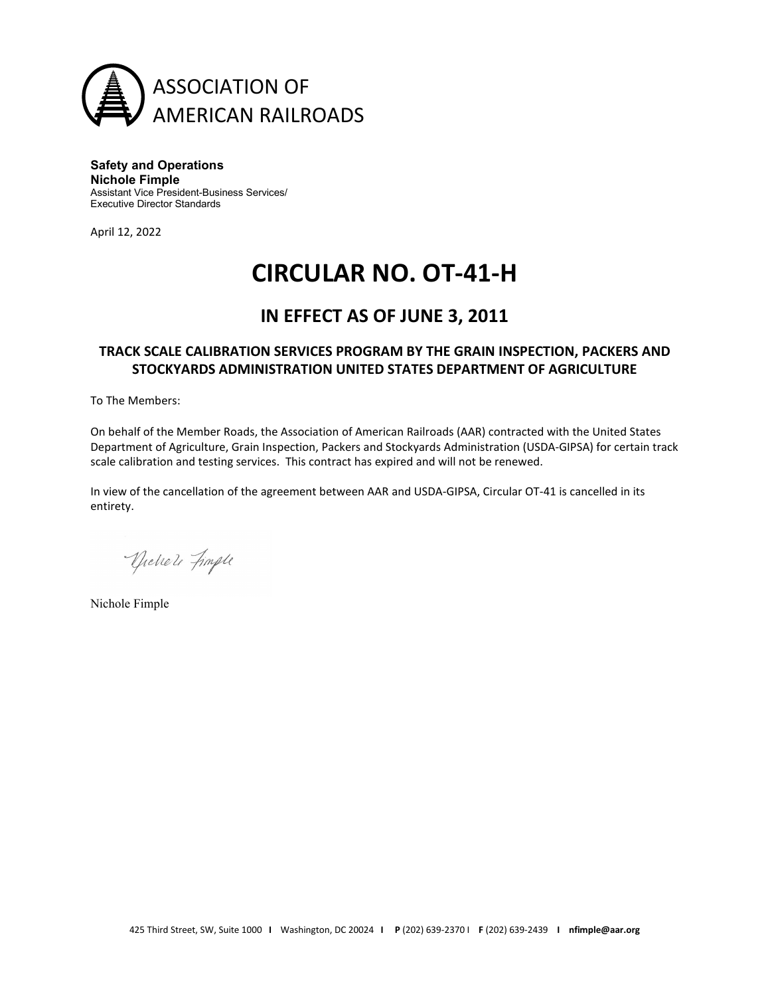

**Safety and Operations Nichole Fimple** Assistant Vice President-Business Services/ Executive Director Standards

April 12, 2022

## **CIRCULAR NO. OT-41-H**

### **IN EFFECT AS OF JUNE 3, 2011**

#### **TRACK SCALE CALIBRATION SERVICES PROGRAM BY THE GRAIN INSPECTION, PACKERS AND STOCKYARDS ADMINISTRATION UNITED STATES DEPARTMENT OF AGRICULTURE**

To The Members:

On behalf of the Member Roads, the Association of American Railroads (AAR) contracted with the United States Department of Agriculture, Grain Inspection, Packers and Stockyards Administration (USDA-GIPSA) for certain track scale calibration and testing services. This contract has expired and will not be renewed.

In view of the cancellation of the agreement between AAR and USDA-GIPSA, Circular OT-41 is cancelled in its entirety.

Dichele Fingle

Nichole Fimple